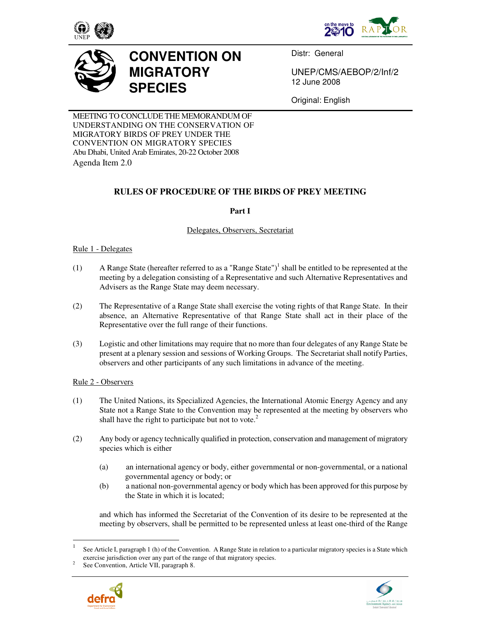





# **CONVENTION ON MIGRATORY SPECIES**

Distr: General

UNEP/CMS/AEBOP/2/Inf/2 12 June 2008

Original: English

MEETING TO CONCLUDE THE MEMORANDUM OF UNDERSTANDING ON THE CONSERVATION OF MIGRATORY BIRDS OF PREY UNDER THE CONVENTION ON MIGRATORY SPECIES Abu Dhabi, United Arab Emirates, 20-22 October 2008 Agenda Item 2.0

## **RULES OF PROCEDURE OF THE BIRDS OF PREY MEETING**

**Part I** 

## Delegates, Observers, Secretariat

## Rule 1 - Delegates

- (1) A Range State (hereafter referred to as a "Range State")<sup>1</sup> shall be entitled to be represented at the meeting by a delegation consisting of a Representative and such Alternative Representatives and Advisers as the Range State may deem necessary.
- (2) The Representative of a Range State shall exercise the voting rights of that Range State. In their absence, an Alternative Representative of that Range State shall act in their place of the Representative over the full range of their functions.
- (3) Logistic and other limitations may require that no more than four delegates of any Range State be present at a plenary session and sessions of Working Groups.The Secretariat shall notify Parties, observers and other participants of any such limitations in advance of the meeting.

## Rule 2 - Observers

- (1) The United Nations, its Specialized Agencies, the International Atomic Energy Agency and any State not a Range State to the Convention may be represented at the meeting by observers who shall have the right to participate but not to vote.<sup>2</sup>
- (2) Any body or agency technically qualified in protection, conservation and management of migratory species which is either
	- (a) an international agency or body, either governmental or non-governmental, or a national governmental agency or body; or
	- (b) a national non-governmental agency or body which has been approved for this purpose by the State in which it is located;

and which has informed the Secretariat of the Convention of its desire to be represented at the meeting by observers, shall be permitted to be represented unless at least one-third of the Range

<sup>2</sup> See Convention, Article VII, paragraph 8.





<sup>|&</sup>lt;br>|<br>| See Article I, paragraph 1 (h) of the Convention. A Range State in relation to a particular migratory species is a State which exercise jurisdiction over any part of the range of that migratory species.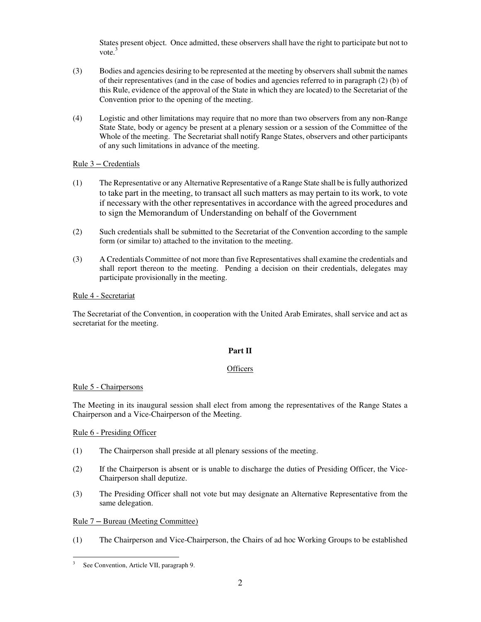States present object. Once admitted, these observers shall have the right to participate but not to vote. $3$ 

- (3) Bodies and agencies desiring to be represented at the meeting by observers shall submit the names of their representatives (and in the case of bodies and agencies referred to in paragraph (2) (b) of this Rule, evidence of the approval of the State in which they are located) to the Secretariat of the Convention prior to the opening of the meeting.
- (4) Logistic and other limitations may require that no more than two observers from any non-Range State State, body or agency be present at a plenary session or a session of the Committee of the Whole of the meeting. The Secretariat shall notify Range States, observers and other participants of any such limitations in advance of the meeting.

## $Rule 3 - Credentials$

- (1) The Representative or any Alternative Representative of a Range State shall be is fully authorized to take part in the meeting, to transact all such matters as may pertain to its work, to vote if necessary with the other representatives in accordance with the agreed procedures and to sign the Memorandum of Understanding on behalf of the Government
- (2) Such credentials shall be submitted to the Secretariat of the Convention according to the sample form (or similar to) attached to the invitation to the meeting.
- (3) A Credentials Committee of not more than five Representatives shall examine the credentials and shall report thereon to the meeting. Pending a decision on their credentials, delegates may participate provisionally in the meeting.

## Rule 4 - Secretariat

The Secretariat of the Convention, in cooperation with the United Arab Emirates, shall service and act as secretariat for the meeting.

#### **Part II**

#### **Officers**

#### Rule 5 - Chairpersons

The Meeting in its inaugural session shall elect from among the representatives of the Range States a Chairperson and a Vice-Chairperson of the Meeting.

#### Rule 6 - Presiding Officer

- (1) The Chairperson shall preside at all plenary sessions of the meeting.
- (2) If the Chairperson is absent or is unable to discharge the duties of Presiding Officer, the Vice-Chairperson shall deputize.
- (3) The Presiding Officer shall not vote but may designate an Alternative Representative from the same delegation.

#### Rule 7 ─ Bureau (Meeting Committee)

(1) The Chairperson and Vice-Chairperson, the Chairs of ad hoc Working Groups to be established

 $\overline{a}$ 3 See Convention, Article VII, paragraph 9.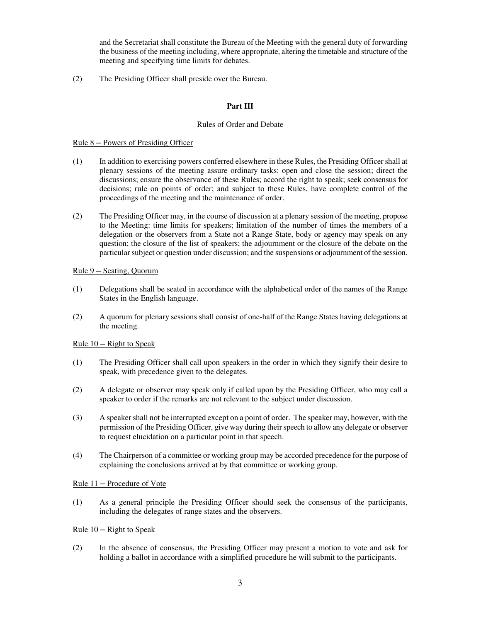and the Secretariat shall constitute the Bureau of the Meeting with the general duty of forwarding the business of the meeting including, where appropriate, altering the timetable and structure of the meeting and specifying time limits for debates.

(2) The Presiding Officer shall preside over the Bureau.

## **Part III**

#### Rules of Order and Debate

#### Rule 8 ─ Powers of Presiding Officer

- (1) In addition to exercising powers conferred elsewhere in these Rules, the Presiding Officer shall at plenary sessions of the meeting assure ordinary tasks: open and close the session; direct the discussions; ensure the observance of these Rules; accord the right to speak; seek consensus for decisions; rule on points of order; and subject to these Rules, have complete control of the proceedings of the meeting and the maintenance of order.
- (2) The Presiding Officer may, in the course of discussion at a plenary session of the meeting, propose to the Meeting: time limits for speakers; limitation of the number of times the members of a delegation or the observers from a State not a Range State, body or agency may speak on any question; the closure of the list of speakers; the adjournment or the closure of the debate on the particular subject or question under discussion; and the suspensions or adjournment of the session.

#### Rule 9 ─ Seating, Quorum

- (1) Delegations shall be seated in accordance with the alphabetical order of the names of the Range States in the English language.
- (2) A quorum for plenary sessions shall consist of one-half of the Range States having delegations at the meeting.

#### Rule  $10 -$ Right to Speak

- (1) The Presiding Officer shall call upon speakers in the order in which they signify their desire to speak, with precedence given to the delegates.
- (2) A delegate or observer may speak only if called upon by the Presiding Officer, who may call a speaker to order if the remarks are not relevant to the subject under discussion.
- (3) A speaker shall not be interrupted except on a point of order. The speaker may, however, with the permission of the Presiding Officer, give way during their speech to allow any delegate or observer to request elucidation on a particular point in that speech.
- (4) The Chairperson of a committee or working group may be accorded precedence for the purpose of explaining the conclusions arrived at by that committee or working group.

#### Rule 11 ─ Procedure of Vote

(1) As a general principle the Presiding Officer should seek the consensus of the participants, including the delegates of range states and the observers.

#### <u>Rule  $10 -$  Right to Speak</u>

(2) In the absence of consensus, the Presiding Officer may present a motion to vote and ask for holding a ballot in accordance with a simplified procedure he will submit to the participants.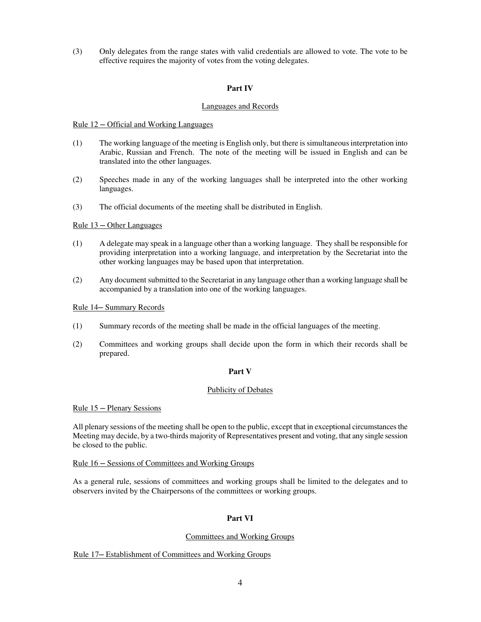(3) Only delegates from the range states with valid credentials are allowed to vote. The vote to be effective requires the majority of votes from the voting delegates.

#### **Part IV**

#### Languages and Records

#### Rule  $12 -$  Official and Working Languages

- (1) The working language of the meeting is English only, but there is simultaneous interpretation into Arabic, Russian and French. The note of the meeting will be issued in English and can be translated into the other languages.
- (2) Speeches made in any of the working languages shall be interpreted into the other working languages.
- (3) The official documents of the meeting shall be distributed in English.

#### Rule 13 ─ Other Languages

- (1) A delegate may speak in a language other than a working language. They shall be responsible for providing interpretation into a working language, and interpretation by the Secretariat into the other working languages may be based upon that interpretation.
- (2) Any document submitted to the Secretariat in any language other than a working language shall be accompanied by a translation into one of the working languages.

#### Rule 14─ Summary Records

- (1) Summary records of the meeting shall be made in the official languages of the meeting.
- (2) Committees and working groups shall decide upon the form in which their records shall be prepared.

#### **Part V**

#### Publicity of Debates

#### Rule 15 ─ Plenary Sessions

All plenary sessions of the meeting shall be open to the public, except that in exceptional circumstances the Meeting may decide, by a two-thirds majority of Representatives present and voting, that any single session be closed to the public.

#### Rule 16 ─ Sessions of Committees and Working Groups

As a general rule, sessions of committees and working groups shall be limited to the delegates and to observers invited by the Chairpersons of the committees or working groups.

#### **Part VI**

#### Committees and Working Groups

#### Rule 17─ Establishment of Committees and Working Groups